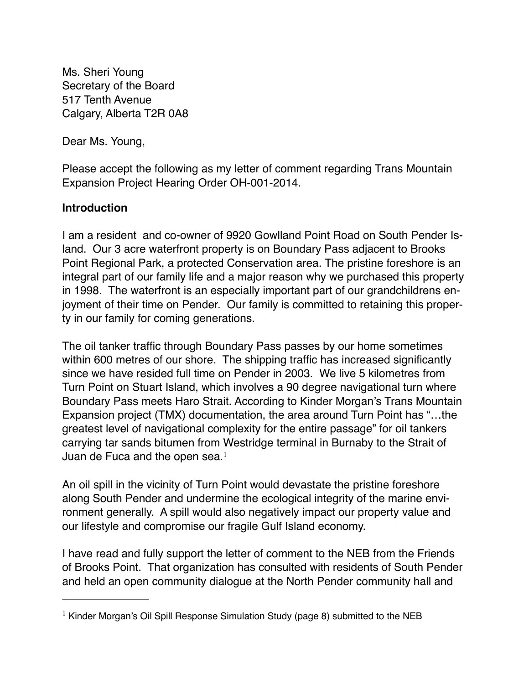Ms. Sheri Young Secretary of the Board 517 Tenth Avenue Calgary, Alberta T2R 0A8

Dear Ms. Young,

Please accept the following as my letter of comment regarding Trans Mountain Expansion Project Hearing Order OH-001-2014.

## **Introduction**

I am a resident and co-owner of 9920 Gowlland Point Road on South Pender Island. Our 3 acre waterfront property is on Boundary Pass adjacent to Brooks Point Regional Park, a protected Conservation area. The pristine foreshore is an integral part of our family life and a major reason why we purchased this property in 1998. The waterfront is an especially important part of our grandchildrens enjoyment of their time on Pender. Our family is committed to retaining this property in our family for coming generations.

The oil tanker traffic through Boundary Pass passes by our home sometimes within 600 metres of our shore. The shipping traffic has increased significantly since we have resided full time on Pender in 2003. We live 5 kilometres from Turn Point on Stuart Island, which involves a 90 degree navigational turn where Boundary Pass meets Haro Strait. According to Kinder Morgan's Trans Mountain Expansion project (TMX) documentation, the area around Turn Point has "…the greatest level of navigational complexity for the entire passage" for oil tankers carrying tar sands bitumen from Westridge terminal in Burnaby to the Strait of Juan de Fuca and the open sea. $<sup>1</sup>$ </sup>

An oil spill in the vicinity of Turn Point would devastate the pristine foreshore along South Pender and undermine the ecological integrity of the marine environment generally. A spill would also negatively impact our property value and our lifestyle and compromise our fragile Gulf Island economy.

I have read and fully support the letter of comment to the NEB from the Friends of Brooks Point. That organization has consulted with residents of South Pender and held an open community dialogue at the North Pender community hall and

<sup>&</sup>lt;sup>1</sup> Kinder Morgan's Oil Spill Response Simulation Study (page 8) submitted to the NEB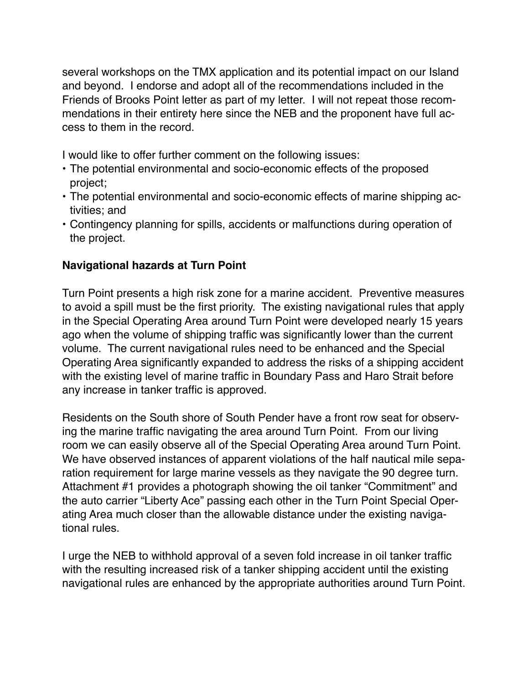several workshops on the TMX application and its potential impact on our Island and beyond. I endorse and adopt all of the recommendations included in the Friends of Brooks Point letter as part of my letter. I will not repeat those recommendations in their entirety here since the NEB and the proponent have full access to them in the record.

I would like to offer further comment on the following issues:

- The potential environmental and socio-economic effects of the proposed project;
- The potential environmental and socio-economic effects of marine shipping activities; and
- Contingency planning for spills, accidents or malfunctions during operation of the project.

# **Navigational hazards at Turn Point**

Turn Point presents a high risk zone for a marine accident. Preventive measures to avoid a spill must be the first priority. The existing navigational rules that apply in the Special Operating Area around Turn Point were developed nearly 15 years ago when the volume of shipping traffic was significantly lower than the current volume. The current navigational rules need to be enhanced and the Special Operating Area significantly expanded to address the risks of a shipping accident with the existing level of marine traffic in Boundary Pass and Haro Strait before any increase in tanker traffic is approved.

Residents on the South shore of South Pender have a front row seat for observing the marine traffic navigating the area around Turn Point. From our living room we can easily observe all of the Special Operating Area around Turn Point. We have observed instances of apparent violations of the half nautical mile separation requirement for large marine vessels as they navigate the 90 degree turn. Attachment #1 provides a photograph showing the oil tanker "Commitment" and the auto carrier "Liberty Ace" passing each other in the Turn Point Special Operating Area much closer than the allowable distance under the existing navigational rules.

I urge the NEB to withhold approval of a seven fold increase in oil tanker traffic with the resulting increased risk of a tanker shipping accident until the existing navigational rules are enhanced by the appropriate authorities around Turn Point.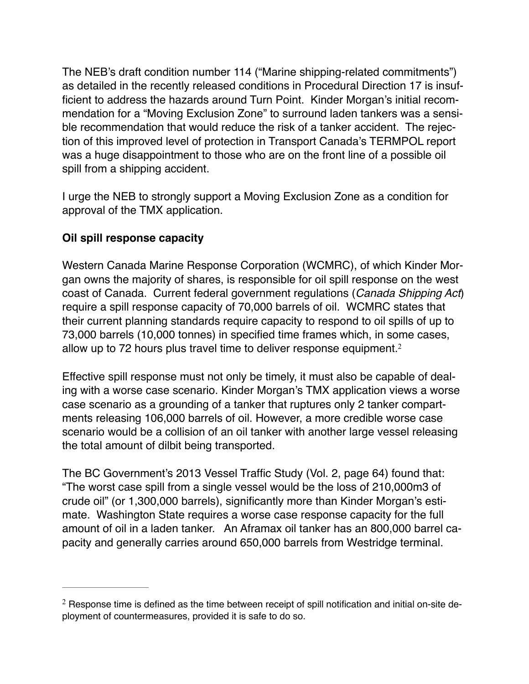The NEB's draft condition number 114 ("Marine shipping-related commitments") as detailed in the recently released conditions in Procedural Direction 17 is insufficient to address the hazards around Turn Point. Kinder Morgan's initial recommendation for a "Moving Exclusion Zone" to surround laden tankers was a sensible recommendation that would reduce the risk of a tanker accident. The rejection of this improved level of protection in Transport Canada's TERMPOL report was a huge disappointment to those who are on the front line of a possible oil spill from a shipping accident.

I urge the NEB to strongly support a Moving Exclusion Zone as a condition for approval of the TMX application.

## **Oil spill response capacity**

Western Canada Marine Response Corporation (WCMRC), of which Kinder Morgan owns the majority of shares, is responsible for oil spill response on the west coast of Canada. Current federal government regulations (*Canada Shipping Act*) require a spill response capacity of 70,000 barrels of oil. WCMRC states that their current planning standards require capacity to respond to oil spills of up to 73,000 barrels (10,000 tonnes) in specified time frames which, in some cases, allow up to 72 hours plus travel time to deliver response equipment.<sup>2</sup>

Effective spill response must not only be timely, it must also be capable of dealing with a worse case scenario. Kinder Morgan's TMX application views a worse case scenario as a grounding of a tanker that ruptures only 2 tanker compartments releasing 106,000 barrels of oil. However, a more credible worse case scenario would be a collision of an oil tanker with another large vessel releasing the total amount of dilbit being transported.

The BC Government's 2013 Vessel Traffic Study (Vol. 2, page 64) found that: "The worst case spill from a single vessel would be the loss of 210,000m3 of crude oil" (or 1,300,000 barrels), significantly more than Kinder Morgan's estimate. Washington State requires a worse case response capacity for the full amount of oil in a laden tanker. An Aframax oil tanker has an 800,000 barrel capacity and generally carries around 650,000 barrels from Westridge terminal.

 $2$  Response time is defined as the time between receipt of spill notification and initial on-site deployment of countermeasures, provided it is safe to do so.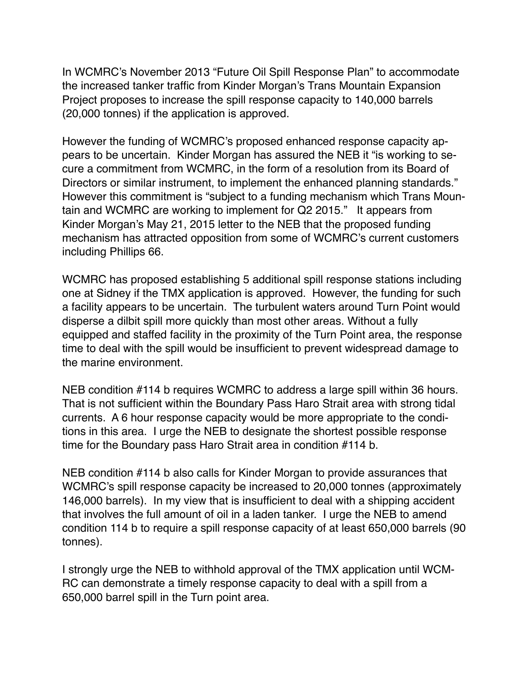In WCMRC's November 2013 "Future Oil Spill Response Plan" to accommodate the increased tanker traffic from Kinder Morgan's Trans Mountain Expansion Project proposes to increase the spill response capacity to 140,000 barrels (20,000 tonnes) if the application is approved.

However the funding of WCMRC's proposed enhanced response capacity appears to be uncertain. Kinder Morgan has assured the NEB it "is working to secure a commitment from WCMRC, in the form of a resolution from its Board of Directors or similar instrument, to implement the enhanced planning standards." However this commitment is "subject to a funding mechanism which Trans Mountain and WCMRC are working to implement for Q2 2015." It appears from Kinder Morgan's May 21, 2015 letter to the NEB that the proposed funding mechanism has attracted opposition from some of WCMRC's current customers including Phillips 66.

WCMRC has proposed establishing 5 additional spill response stations including one at Sidney if the TMX application is approved. However, the funding for such a facility appears to be uncertain. The turbulent waters around Turn Point would disperse a dilbit spill more quickly than most other areas. Without a fully equipped and staffed facility in the proximity of the Turn Point area, the response time to deal with the spill would be insufficient to prevent widespread damage to the marine environment.

NEB condition #114 b requires WCMRC to address a large spill within 36 hours. That is not sufficient within the Boundary Pass Haro Strait area with strong tidal currents. A 6 hour response capacity would be more appropriate to the conditions in this area. I urge the NEB to designate the shortest possible response time for the Boundary pass Haro Strait area in condition #114 b.

NEB condition #114 b also calls for Kinder Morgan to provide assurances that WCMRC's spill response capacity be increased to 20,000 tonnes (approximately 146,000 barrels). In my view that is insufficient to deal with a shipping accident that involves the full amount of oil in a laden tanker. I urge the NEB to amend condition 114 b to require a spill response capacity of at least 650,000 barrels (90 tonnes).

I strongly urge the NEB to withhold approval of the TMX application until WCM-RC can demonstrate a timely response capacity to deal with a spill from a 650,000 barrel spill in the Turn point area.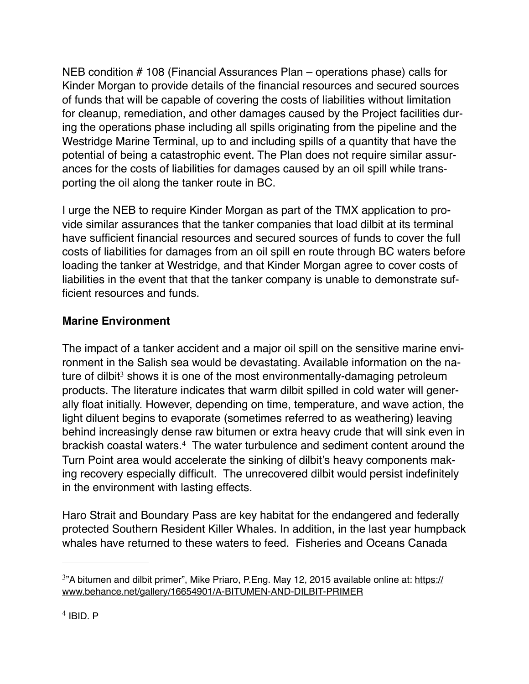NEB condition # 108 (Financial Assurances Plan – operations phase) calls for Kinder Morgan to provide details of the financial resources and secured sources of funds that will be capable of covering the costs of liabilities without limitation for cleanup, remediation, and other damages caused by the Project facilities during the operations phase including all spills originating from the pipeline and the Westridge Marine Terminal, up to and including spills of a quantity that have the potential of being a catastrophic event. The Plan does not require similar assurances for the costs of liabilities for damages caused by an oil spill while transporting the oil along the tanker route in BC.

I urge the NEB to require Kinder Morgan as part of the TMX application to provide similar assurances that the tanker companies that load dilbit at its terminal have sufficient financial resources and secured sources of funds to cover the full costs of liabilities for damages from an oil spill en route through BC waters before loading the tanker at Westridge, and that Kinder Morgan agree to cover costs of liabilities in the event that that the tanker company is unable to demonstrate sufficient resources and funds.

# **Marine Environment**

The impact of a tanker accident and a major oil spill on the sensitive marine environment in the Salish sea would be devastating. Available information on the nature of dilbit<sup>3</sup> shows it is one of the most environmentally-damaging petroleum products. The literature indicates that warm dilbit spilled in cold water will generally float initially. However, depending on time, temperature, and wave action, the light diluent begins to evaporate (sometimes referred to as weathering) leaving behind increasingly dense raw bitumen or extra heavy crude that will sink even in brackish coastal waters.<sup>4</sup> The water turbulence and sediment content around the Turn Point area would accelerate the sinking of dilbit's heavy components making recovery especially difficult. The unrecovered dilbit would persist indefinitely in the environment with lasting effects.

Haro Strait and Boundary Pass are key habitat for the endangered and federally protected Southern Resident Killer Whales. In addition, in the last year humpback whales have returned to these waters to feed. Fisheries and Oceans Canada

 $3$ ["A bitumen and dilbit primer", Mike Priaro, P.Eng. May 12, 2015 available online at: https://](https://www.behance.net/gallery/16654901/A-BITUMEN-AND-DILBIT-PRIMER) www.behance.net/gallery/16654901/A-BITUMEN-AND-DILBIT-PRIMER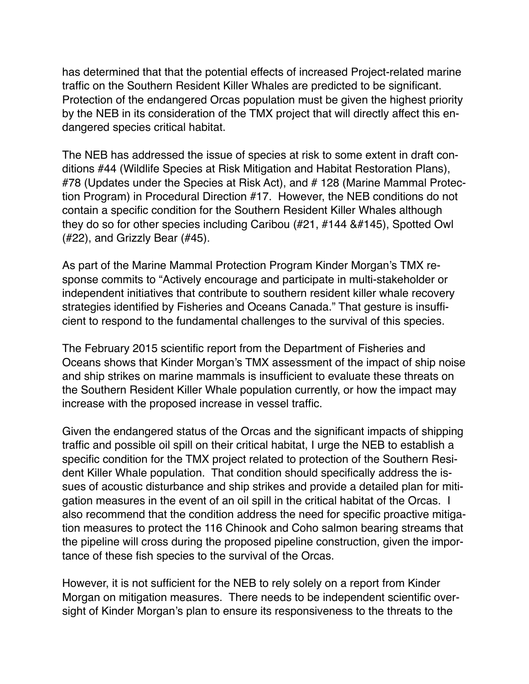has determined that that the potential effects of increased Project-related marine traffic on the Southern Resident Killer Whales are predicted to be significant. Protection of the endangered Orcas population must be given the highest priority by the NEB in its consideration of the TMX project that will directly affect this endangered species critical habitat.

The NEB has addressed the issue of species at risk to some extent in draft conditions #44 (Wildlife Species at Risk Mitigation and Habitat Restoration Plans), #78 (Updates under the Species at Risk Act), and #128 (Marine Mammal Protection Program) in Procedural Direction #17. However, the NEB conditions do not contain a specific condition for the Southern Resident Killer Whales although they do so for other species including Caribou  $(\#21, \#144, \#145)$ , Spotted Owl (#22), and Grizzly Bear (#45).

As part of the Marine Mammal Protection Program Kinder Morgan's TMX response commits to "Actively encourage and participate in multi-stakeholder or independent initiatives that contribute to southern resident killer whale recovery strategies identified by Fisheries and Oceans Canada." That gesture is insufficient to respond to the fundamental challenges to the survival of this species.

The February 2015 scientific report from the Department of Fisheries and Oceans shows that Kinder Morgan's TMX assessment of the impact of ship noise and ship strikes on marine mammals is insufficient to evaluate these threats on the Southern Resident Killer Whale population currently, or how the impact may increase with the proposed increase in vessel traffic.

Given the endangered status of the Orcas and the significant impacts of shipping traffic and possible oil spill on their critical habitat, I urge the NEB to establish a specific condition for the TMX project related to protection of the Southern Resident Killer Whale population. That condition should specifically address the issues of acoustic disturbance and ship strikes and provide a detailed plan for mitigation measures in the event of an oil spill in the critical habitat of the Orcas. I also recommend that the condition address the need for specific proactive mitigation measures to protect the 116 Chinook and Coho salmon bearing streams that the pipeline will cross during the proposed pipeline construction, given the importance of these fish species to the survival of the Orcas.

However, it is not sufficient for the NEB to rely solely on a report from Kinder Morgan on mitigation measures. There needs to be independent scientific oversight of Kinder Morgan's plan to ensure its responsiveness to the threats to the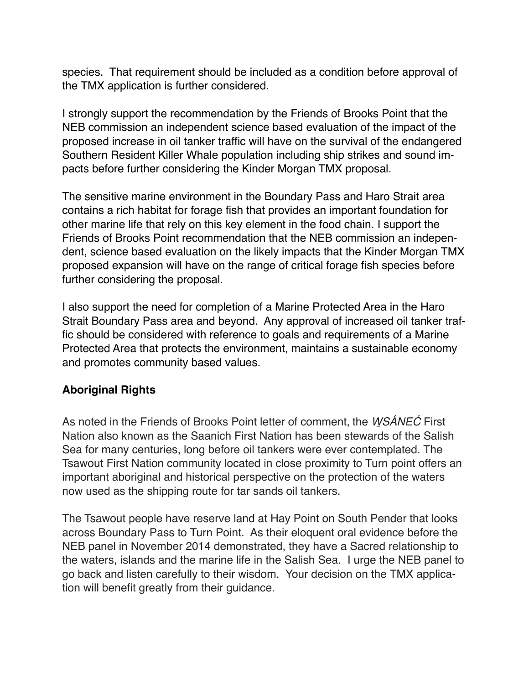species. That requirement should be included as a condition before approval of the TMX application is further considered.

I strongly support the recommendation by the Friends of Brooks Point that the NEB commission an independent science based evaluation of the impact of the proposed increase in oil tanker traffic will have on the survival of the endangered Southern Resident Killer Whale population including ship strikes and sound impacts before further considering the Kinder Morgan TMX proposal.

The sensitive marine environment in the Boundary Pass and Haro Strait area contains a rich habitat for forage fish that provides an important foundation for other marine life that rely on this key element in the food chain. I support the Friends of Brooks Point recommendation that the NEB commission an independent, science based evaluation on the likely impacts that the Kinder Morgan TMX proposed expansion will have on the range of critical forage fish species before further considering the proposal.

I also support the need for completion of a Marine Protected Area in the Haro Strait Boundary Pass area and beyond. Any approval of increased oil tanker traffic should be considered with reference to goals and requirements of a Marine Protected Area that protects the environment, maintains a sustainable economy and promotes community based values.

## **Aboriginal Rights**

As noted in the Friends of Brooks Point letter of comment, the *W*̱*SÁNE*Ć First Nation also known as the Saanich First Nation has been stewards of the Salish Sea for many centuries, long before oil tankers were ever contemplated. The Tsawout First Nation community located in close proximity to Turn point offers an important aboriginal and historical perspective on the protection of the waters now used as the shipping route for tar sands oil tankers.

The Tsawout people have reserve land at Hay Point on South Pender that looks across Boundary Pass to Turn Point. As their eloquent oral evidence before the NEB panel in November 2014 demonstrated, they have a Sacred relationship to the waters, islands and the marine life in the Salish Sea. I urge the NEB panel to go back and listen carefully to their wisdom. Your decision on the TMX application will benefit greatly from their guidance.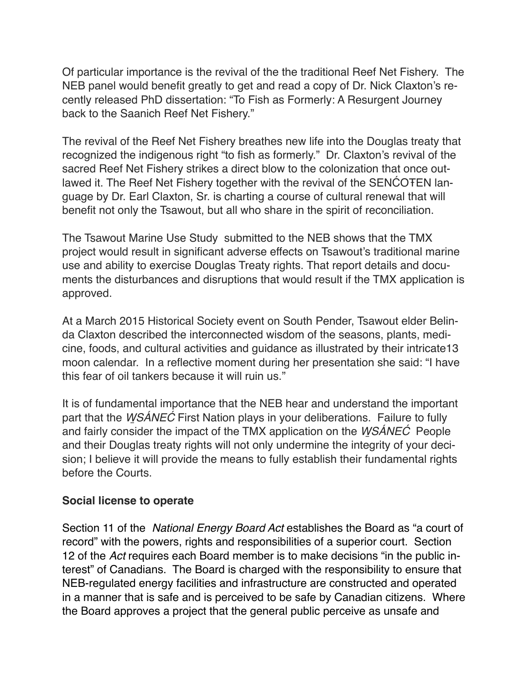Of particular importance is the revival of the the traditional Reef Net Fishery. The NEB panel would benefit greatly to get and read a copy of Dr. Nick Claxton's recently released PhD dissertation: "To Fish as Formerly: A Resurgent Journey back to the Saanich Reef Net Fishery."

The revival of the Reef Net Fishery breathes new life into the Douglas treaty that recognized the indigenous right "to fish as formerly." Dr. Claxton's revival of the sacred Reef Net Fishery strikes a direct blow to the colonization that once outlawed it. The Reef Net Fishery together with the revival of the SENĆOŦEN language by Dr. Earl Claxton, Sr. is charting a course of cultural renewal that will benefit not only the Tsawout, but all who share in the spirit of reconciliation.

The Tsawout Marine Use Study submitted to the NEB shows that the TMX project would result in significant adverse effects on Tsawout's traditional marine use and ability to exercise Douglas Treaty rights. That report details and documents the disturbances and disruptions that would result if the TMX application is approved.

At a March 2015 Historical Society event on South Pender, Tsawout elder Belinda Claxton described the interconnected wisdom of the seasons, plants, medicine, foods, and cultural activities and guidance as illustrated by their intricate13 moon calendar. In a reflective moment during her presentation she said: "I have this fear of oil tankers because it will ruin us."

It is of fundamental importance that the NEB hear and understand the important part that the *W*̱*SÁNE*Ć First Nation plays in your deliberations. Failure to fully and fairly consider the impact of the TMX application on the *W*̱*SÁNE*Ć People and their Douglas treaty rights will not only undermine the integrity of your decision; I believe it will provide the means to fully establish their fundamental rights before the Courts.

### **Social license to operate**

Section 11 of the *National Energy Board Act* establishes the Board as "a court of record" with the powers, rights and responsibilities of a superior court. Section 12 of the *Act* requires each Board member is to make decisions "in the public interest" of Canadians. The Board is charged with the responsibility to ensure that NEB-regulated energy facilities and infrastructure are constructed and operated in a manner that is safe and is perceived to be safe by Canadian citizens. Where the Board approves a project that the general public perceive as unsafe and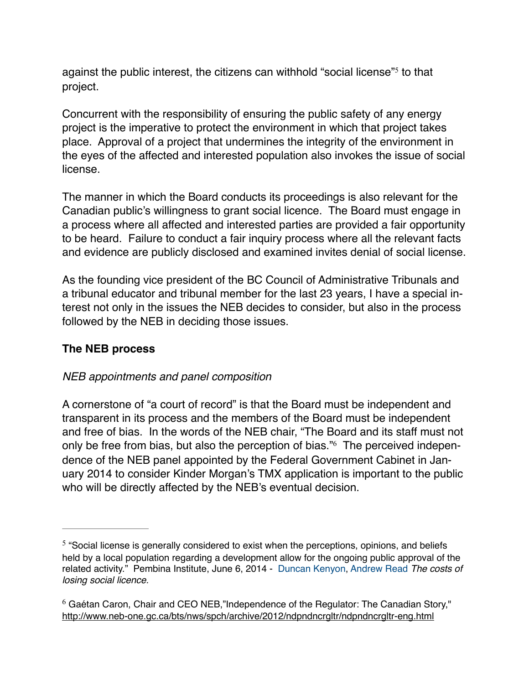against the public interest, the citizens can withhold "social license"<sup>5</sup> to that project.

Concurrent with the responsibility of ensuring the public safety of any energy project is the imperative to protect the environment in which that project takes place. Approval of a project that undermines the integrity of the environment in the eyes of the affected and interested population also invokes the issue of social license.

The manner in which the Board conducts its proceedings is also relevant for the Canadian public's willingness to grant social licence. The Board must engage in a process where all affected and interested parties are provided a fair opportunity to be heard. Failure to conduct a fair inquiry process where all the relevant facts and evidence are publicly disclosed and examined invites denial of social license.

As the founding vice president of the BC Council of Administrative Tribunals and a tribunal educator and tribunal member for the last 23 years, I have a special interest not only in the issues the NEB decides to consider, but also in the process followed by the NEB in deciding those issues.

### **The NEB process**

### *NEB appointments and panel composition*

A cornerstone of "a court of record" is that the Board must be independent and transparent in its process and the members of the Board must be independent and free of bias. In the words of the NEB chair, "The Board and its staff must not only be free from bias, but also the perception of bias."<sup>6</sup> The perceived independence of the NEB panel appointed by the Federal Government Cabinet in January 2014 to consider Kinder Morgan's TMX application is important to the public who will be directly affected by the NEB's eventual decision.

 $5$  "Social license is generally considered to exist when the perceptions, opinions, and beliefs held by a local population regarding a development allow for the ongoing public approval of the related activity." Pembina Institute, June 6, 2014 - [Duncan Kenyon](http://www.pembina.org/contact/duncan-kenyon), [Andrew Read](http://www.pembina.org/contact/andrew-read) *The costs of losing social licence.*

 $6$  Gaétan Caron, Chair and CEO NEB, Independence of the Regulator: The Canadian Story," <http://www.neb-one.gc.ca/bts/nws/spch/archive/2012/ndpndncrgltr/ndpndncrgltr-eng.html>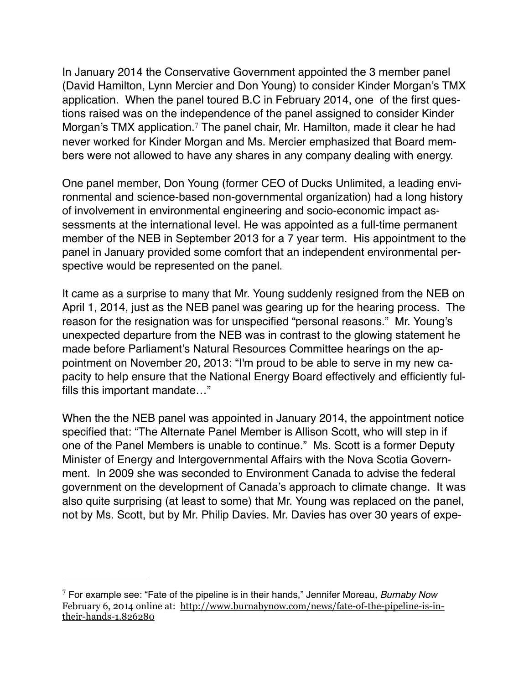In January 2014 the Conservative Government appointed the 3 member panel (David Hamilton, Lynn Mercier and Don Young) to consider Kinder Morgan's TMX application. When the panel toured B.C in February 2014, one of the first questions raised was on the independence of the panel assigned to consider Kinder Morgan's TMX application.<sup>7</sup> The panel chair, Mr. Hamilton, made it clear he had never worked for Kinder Morgan and Ms. Mercier emphasized that Board members were not allowed to have any shares in any company dealing with energy.

One panel member, Don Young (former CEO of Ducks Unlimited, a leading environmental and science-based non-governmental organization) had a long history of involvement in environmental engineering and socio-economic impact assessments at the international level. He was appointed as a full-time permanent member of the NEB in September 2013 for a 7 year term. His appointment to the panel in January provided some comfort that an independent environmental perspective would be represented on the panel.

It came as a surprise to many that Mr. Young suddenly resigned from the NEB on April 1, 2014, just as the NEB panel was gearing up for the hearing process. The reason for the resignation was for unspecified "personal reasons." Mr. Young's unexpected departure from the NEB was in contrast to the glowing statement he made before Parliament's Natural Resources Committee hearings on the appointment on November 20, 2013: "I'm proud to be able to serve in my new capacity to help ensure that the National Energy Board effectively and efficiently fulfills this important mandate…"

When the the NEB panel was appointed in January 2014, the appointment notice specified that: "The Alternate Panel Member is Allison Scott, who will step in if one of the Panel Members is unable to continue." Ms. Scott is a former Deputy Minister of Energy and Intergovernmental Affairs with the Nova Scotia Government. In 2009 she was seconded to Environment Canada to advise the federal government on the development of Canada's approach to climate change. It was also quite surprising (at least to some) that Mr. Young was replaced on the panel, not by Ms. Scott, but by Mr. Philip Davies. Mr. Davies has over 30 years of expe-

<sup>7</sup> For example see: "Fate of the pipeline is in their hands," [Jennifer Moreau](http://www.burnabynow.com/authors?author=Jennifer%2520Moreau), *Burnaby Now* [February 6, 2014 online at: http://www.burnabynow.com/news/fate-of-the-pipeline-is-in](http://www.burnabynow.com/news/fate-of-the-pipeline-is-in-their-hands-1.826280)their-hands-1.826280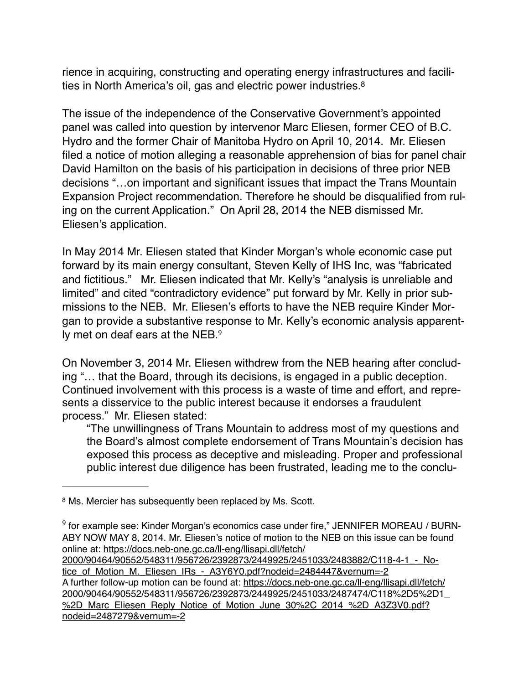rience in acquiring, constructing and operating energy infrastructures and facilities in North America's oil, gas and electric power industries.8

The issue of the independence of the Conservative Government's appointed panel was called into question by intervenor Marc Eliesen, former CEO of B.C. Hydro and the former Chair of Manitoba Hydro on April 10, 2014. Mr. Eliesen filed a notice of motion alleging a reasonable apprehension of bias for panel chair David Hamilton on the basis of his participation in decisions of three prior NEB decisions "…on important and significant issues that impact the Trans Mountain Expansion Project recommendation. Therefore he should be disqualified from ruling on the current Application." On April 28, 2014 the NEB dismissed Mr. Eliesen's application.

In May 2014 Mr. Eliesen stated that Kinder Morgan's whole economic case put forward by its main energy consultant, Steven Kelly of IHS Inc, was "fabricated and fictitious." Mr. Eliesen indicated that Mr. Kelly's "analysis is unreliable and limited" and cited "contradictory evidence" put forward by Mr. Kelly in prior submissions to the NEB. Mr. Eliesen's efforts to have the NEB require Kinder Morgan to provide a substantive response to Mr. Kelly's economic analysis apparently met on deaf ears at the NEB.<sup>9</sup>

On November 3, 2014 Mr. Eliesen withdrew from the NEB hearing after concluding "… that the Board, through its decisions, is engaged in a public deception. Continued involvement with this process is a waste of time and effort, and represents a disservice to the public interest because it endorses a fraudulent process." Mr. Eliesen stated:

"The unwillingness of Trans Mountain to address most of my questions and the Board's almost complete endorsement of Trans Mountain's decision has exposed this process as deceptive and misleading. Proper and professional public interest due diligence has been frustrated, leading me to the conclu-

[2000/90464/90552/548311/956726/2392873/2449925/2451033/2483882/C118-4-1\\_-\\_No](https://docs.neb-one.gc.ca/ll-eng/llisapi.dll/fetch/2000/90464/90552/548311/956726/2392873/2449925/2451033/2483882/C118-4-1_-_Notice_of_Motion_M._Eliesen_IRs_-_A3Y6Y0.pdf?nodeid=2484447&vernum=-2)tice\_of\_Motion\_M.\_Eliesen\_IRs\_-\_A3Y6Y0.pdf?nodeid=2484447&vernum=-2 A further follow-up motion can be found at: https://docs.neb-one.gc.ca/ll-eng/llisapi.dll/fetch/ [2000/90464/90552/548311/956726/2392873/2449925/2451033/2487474/C118%2D5%2D1\\_](https://docs.neb-one.gc.ca/ll-eng/llisapi.dll/fetch/2000/90464/90552/548311/956726/2392873/2449925/2451033/2487474/C118%252D5%252D1_%252D_Marc_Eliesen_Reply_Notice_of_Motion_June_30%252C_2014_%252D_A3Z3V0.pdf?nodeid=2487279&vernum=-2) %2D Marc\_Eliesen\_Reply\_Notice\_of\_Motion\_June\_30%2C\_2014\_%2D\_A3Z3V0.pdf? nodeid=2487279&vernum=-2

<sup>&</sup>lt;sup>8</sup> Ms. Mercier has subsequently been replaced by Ms. Scott.

 $9$  for example see: Kinder Morgan's economics case under fire," [JENNIFER MOREAU](http://www.burnabynow.com/authors?author=Jennifer%2520Moreau) / BURN-ABY NOW MAY 8, 2014. Mr. Eliesen's notice of motion to the NEB on this issue can be found online at: https://docs.neb-one.gc.ca/ll-eng/llisapi.dll/fetch/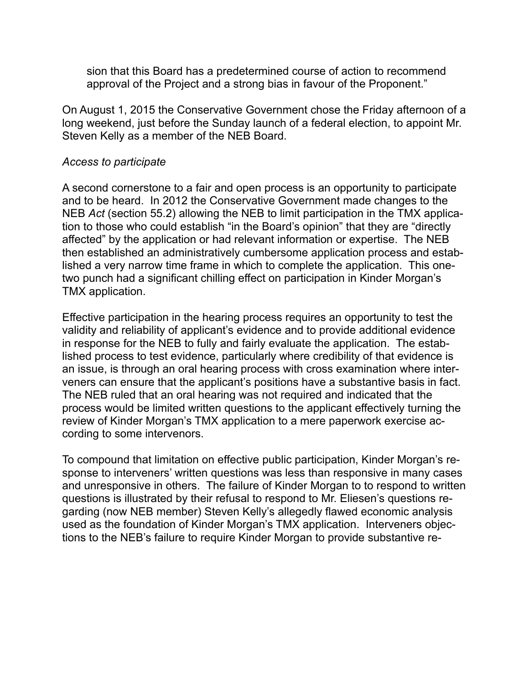sion that this Board has a predetermined course of action to recommend approval of the Project and a strong bias in favour of the Proponent."

On August 1, 2015 the Conservative Government chose the Friday afternoon of a long weekend, just before the Sunday launch of a federal election, to appoint Mr. Steven Kelly as a member of the NEB Board.

#### *Access to participate*

A second cornerstone to a fair and open process is an opportunity to participate and to be heard. In 2012 the Conservative Government made changes to the NEB *Act* (section 55.2) allowing the NEB to limit participation in the TMX application to those who could establish "in the Board's opinion" that they are "directly affected" by the application or had relevant information or expertise. The NEB then established an administratively cumbersome application process and established a very narrow time frame in which to complete the application. This onetwo punch had a significant chilling effect on participation in Kinder Morgan's TMX application.

Effective participation in the hearing process requires an opportunity to test the validity and reliability of applicant's evidence and to provide additional evidence in response for the NEB to fully and fairly evaluate the application. The established process to test evidence, particularly where credibility of that evidence is an issue, is through an oral hearing process with cross examination where interveners can ensure that the applicant's positions have a substantive basis in fact. The NEB ruled that an oral hearing was not required and indicated that the process would be limited written questions to the applicant effectively turning the review of Kinder Morgan's TMX application to a mere paperwork exercise according to some intervenors.

To compound that limitation on effective public participation, Kinder Morgan's response to interveners' written questions was less than responsive in many cases and unresponsive in others. The failure of Kinder Morgan to to respond to written questions is illustrated by their refusal to respond to Mr. Eliesen's questions regarding (now NEB member) Steven Kelly's allegedly flawed economic analysis used as the foundation of Kinder Morgan's TMX application. Interveners objections to the NEB's failure to require Kinder Morgan to provide substantive re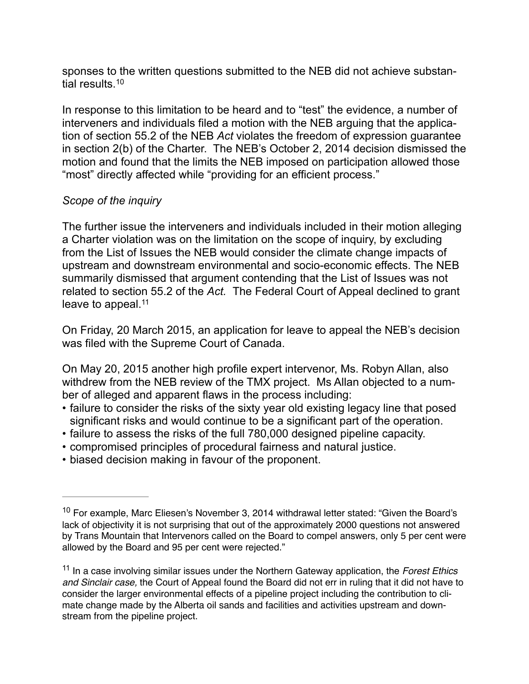sponses to the written questions submitted to the NEB did not achieve substantial results.10

In response to this limitation to be heard and to "test" the evidence, a number of interveners and individuals filed a motion with the NEB arguing that the application of section 55.2 of the NEB *Act* violates the freedom of expression guarantee in section 2(b) of the Charter. The NEB's October 2, 2014 decision dismissed the motion and found that the limits the NEB imposed on participation allowed those "most" directly affected while "providing for an efficient process."

### *Scope of the inquiry*

The further issue the interveners and individuals included in their motion alleging a Charter violation was on the limitation on the scope of inquiry, by excluding from the List of Issues the NEB would consider the climate change impacts of upstream and downstream environmental and socio-economic effects. The NEB summarily dismissed that argument contending that the List of Issues was not related to section 55.2 of the *Act.* The Federal Court of Appeal declined to grant leave to appeal.<sup>11</sup>

On Friday, 20 March 2015, an application for leave to appeal the NEB's decision was filed with the Supreme Court of Canada.

On May 20, 2015 another high profile expert intervenor, Ms. Robyn Allan, also withdrew from the NEB review of the TMX project. Ms Allan objected to a number of alleged and apparent flaws in the process including:

- failure to consider the risks of the sixty year old existing legacy line that posed significant risks and would continue to be a significant part of the operation.
- failure to assess the risks of the full 780,000 designed pipeline capacity.
- compromised principles of procedural fairness and natural justice.
- biased decision making in favour of the proponent.

 $10$  For example, Marc Eliesen's November 3, 2014 withdrawal letter stated: "Given the Board's lack of objectivity it is not surprising that out of the approximately 2000 questions not answered by Trans Mountain that Intervenors called on the Board to compel answers, only 5 per cent were allowed by the Board and 95 per cent were rejected."

In a case involving similar issues under the Northern Gateway application, the *Forest Ethics* <sup>11</sup> *and Sinclair case,* the Court of Appeal found the Board did not err in ruling that it did not have to consider the larger environmental effects of a pipeline project including the contribution to climate change made by the Alberta oil sands and facilities and activities upstream and downstream from the pipeline project.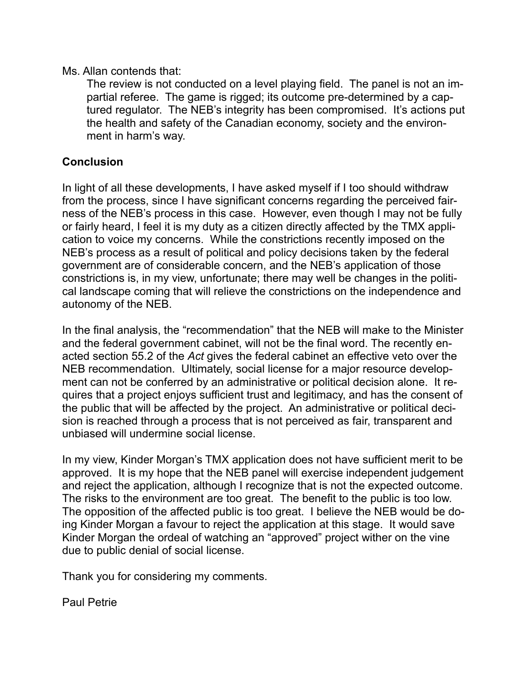Ms. Allan contends that:

 The review is not conducted on a level playing field. The panel is not an impartial referee. The game is rigged; its outcome pre-determined by a captured regulator. The NEB's integrity has been compromised. It's actions put the health and safety of the Canadian economy, society and the environment in harm's way.

## **Conclusion**

In light of all these developments, I have asked myself if I too should withdraw from the process, since I have significant concerns regarding the perceived fairness of the NEB's process in this case. However, even though I may not be fully or fairly heard, I feel it is my duty as a citizen directly affected by the TMX application to voice my concerns. While the constrictions recently imposed on the NEB's process as a result of political and policy decisions taken by the federal government are of considerable concern, and the NEB's application of those constrictions is, in my view, unfortunate; there may well be changes in the political landscape coming that will relieve the constrictions on the independence and autonomy of the NEB.

In the final analysis, the "recommendation" that the NEB will make to the Minister and the federal government cabinet, will not be the final word. The recently enacted section 55.2 of the *Act* gives the federal cabinet an effective veto over the NEB recommendation. Ultimately, social license for a major resource development can not be conferred by an administrative or political decision alone. It requires that a project enjoys sufficient trust and legitimacy, and has the consent of the public that will be affected by the project. An administrative or political decision is reached through a process that is not perceived as fair, transparent and unbiased will undermine social license.

In my view, Kinder Morgan's TMX application does not have sufficient merit to be approved. It is my hope that the NEB panel will exercise independent judgement and reject the application, although I recognize that is not the expected outcome. The risks to the environment are too great. The benefit to the public is too low. The opposition of the affected public is too great. I believe the NEB would be doing Kinder Morgan a favour to reject the application at this stage. It would save Kinder Morgan the ordeal of watching an "approved" project wither on the vine due to public denial of social license.

Thank you for considering my comments.

Paul Petrie